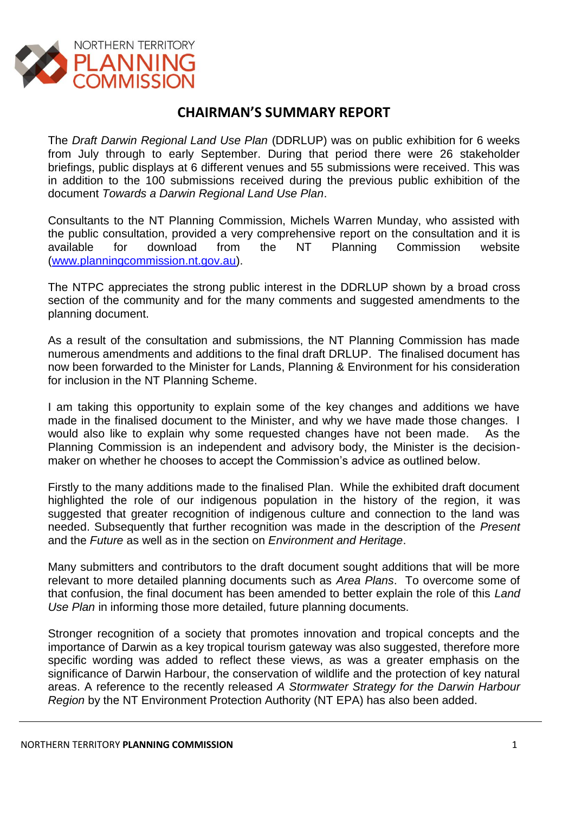

## **CHAIRMAN'S SUMMARY REPORT**

The *Draft Darwin Regional Land Use Plan* (DDRLUP) was on public exhibition for 6 weeks from July through to early September. During that period there were 26 stakeholder briefings, public displays at 6 different venues and 55 submissions were received. This was in addition to the 100 submissions received during the previous public exhibition of the document *Towards a Darwin Regional Land Use Plan*.

Consultants to the NT Planning Commission, Michels Warren Munday, who assisted with the public consultation, provided a very comprehensive report on the consultation and it is available for download from the NT Planning Commission website [\(www.planningcommission.nt.gov.au\)](http://www.planningcommission.nt.gov.au/).

The NTPC appreciates the strong public interest in the DDRLUP shown by a broad cross section of the community and for the many comments and suggested amendments to the planning document.

As a result of the consultation and submissions, the NT Planning Commission has made numerous amendments and additions to the final draft DRLUP. The finalised document has now been forwarded to the Minister for Lands, Planning & Environment for his consideration for inclusion in the NT Planning Scheme.

I am taking this opportunity to explain some of the key changes and additions we have made in the finalised document to the Minister, and why we have made those changes. I would also like to explain why some requested changes have not been made. As the Planning Commission is an independent and advisory body, the Minister is the decisionmaker on whether he chooses to accept the Commission's advice as outlined below.

Firstly to the many additions made to the finalised Plan. While the exhibited draft document highlighted the role of our indigenous population in the history of the region, it was suggested that greater recognition of indigenous culture and connection to the land was needed. Subsequently that further recognition was made in the description of the *Present* and the *Future* as well as in the section on *Environment and Heritage*.

Many submitters and contributors to the draft document sought additions that will be more relevant to more detailed planning documents such as *Area Plans*. To overcome some of that confusion, the final document has been amended to better explain the role of this *Land Use Plan* in informing those more detailed, future planning documents.

Stronger recognition of a society that promotes innovation and tropical concepts and the importance of Darwin as a key tropical tourism gateway was also suggested, therefore more specific wording was added to reflect these views, as was a greater emphasis on the significance of Darwin Harbour, the conservation of wildlife and the protection of key natural areas. A reference to the recently released *A Stormwater Strategy for the Darwin Harbour Region* by the NT Environment Protection Authority (NT EPA) has also been added.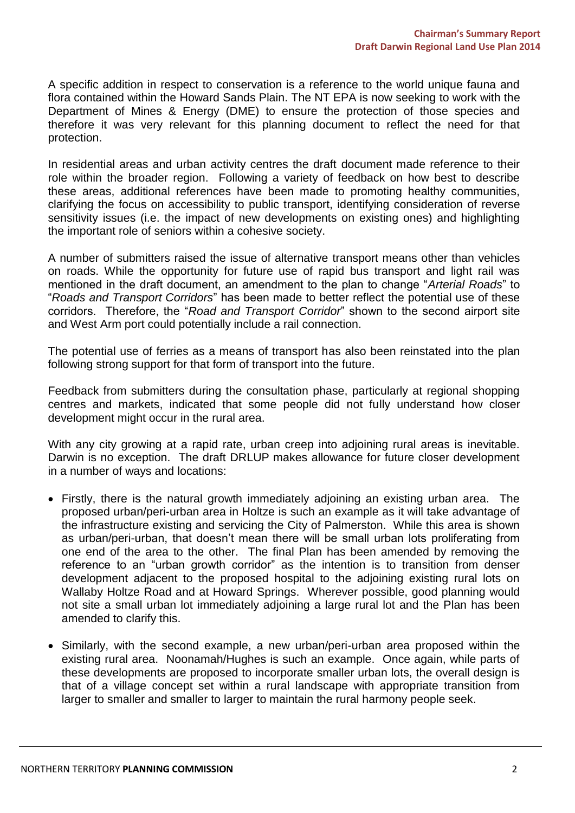A specific addition in respect to conservation is a reference to the world unique fauna and flora contained within the Howard Sands Plain. The NT EPA is now seeking to work with the Department of Mines & Energy (DME) to ensure the protection of those species and therefore it was very relevant for this planning document to reflect the need for that protection.

In residential areas and urban activity centres the draft document made reference to their role within the broader region. Following a variety of feedback on how best to describe these areas, additional references have been made to promoting healthy communities, clarifying the focus on accessibility to public transport, identifying consideration of reverse sensitivity issues (i.e. the impact of new developments on existing ones) and highlighting the important role of seniors within a cohesive society.

A number of submitters raised the issue of alternative transport means other than vehicles on roads. While the opportunity for future use of rapid bus transport and light rail was mentioned in the draft document, an amendment to the plan to change "*Arterial Roads*" to "*Roads and Transport Corridors*" has been made to better reflect the potential use of these corridors. Therefore, the "*Road and Transport Corridor*" shown to the second airport site and West Arm port could potentially include a rail connection.

The potential use of ferries as a means of transport has also been reinstated into the plan following strong support for that form of transport into the future.

Feedback from submitters during the consultation phase, particularly at regional shopping centres and markets, indicated that some people did not fully understand how closer development might occur in the rural area.

With any city growing at a rapid rate, urban creep into adjoining rural areas is inevitable. Darwin is no exception. The draft DRLUP makes allowance for future closer development in a number of ways and locations:

- Firstly, there is the natural growth immediately adjoining an existing urban area. The proposed urban/peri-urban area in Holtze is such an example as it will take advantage of the infrastructure existing and servicing the City of Palmerston. While this area is shown as urban/peri-urban, that doesn't mean there will be small urban lots proliferating from one end of the area to the other. The final Plan has been amended by removing the reference to an "urban growth corridor" as the intention is to transition from denser development adjacent to the proposed hospital to the adjoining existing rural lots on Wallaby Holtze Road and at Howard Springs. Wherever possible, good planning would not site a small urban lot immediately adjoining a large rural lot and the Plan has been amended to clarify this.
- Similarly, with the second example, a new urban/peri-urban area proposed within the existing rural area. Noonamah/Hughes is such an example. Once again, while parts of these developments are proposed to incorporate smaller urban lots, the overall design is that of a village concept set within a rural landscape with appropriate transition from larger to smaller and smaller to larger to maintain the rural harmony people seek.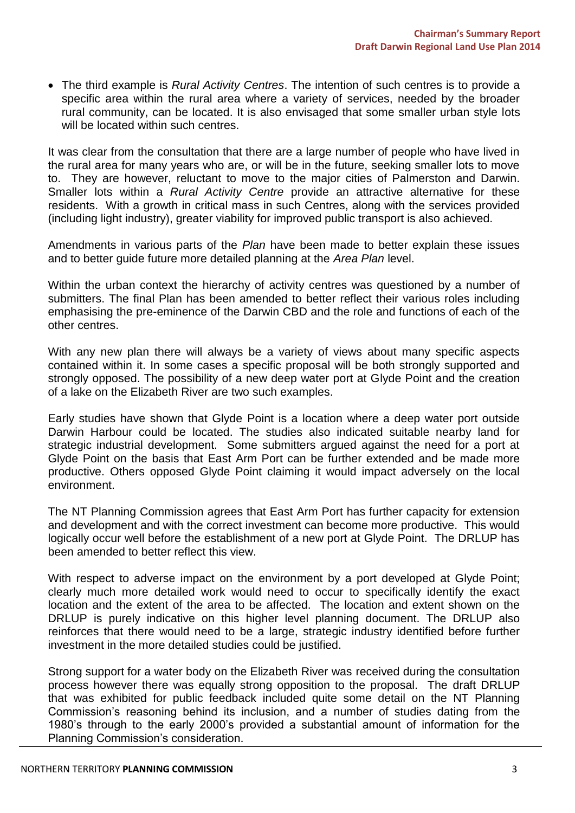The third example is *Rural Activity Centres*. The intention of such centres is to provide a specific area within the rural area where a variety of services, needed by the broader rural community, can be located. It is also envisaged that some smaller urban style lots will be located within such centres.

It was clear from the consultation that there are a large number of people who have lived in the rural area for many years who are, or will be in the future, seeking smaller lots to move to. They are however, reluctant to move to the major cities of Palmerston and Darwin. Smaller lots within a *Rural Activity Centre* provide an attractive alternative for these residents. With a growth in critical mass in such Centres, along with the services provided (including light industry), greater viability for improved public transport is also achieved.

Amendments in various parts of the *Plan* have been made to better explain these issues and to better guide future more detailed planning at the *Area Plan* level.

Within the urban context the hierarchy of activity centres was questioned by a number of submitters. The final Plan has been amended to better reflect their various roles including emphasising the pre-eminence of the Darwin CBD and the role and functions of each of the other centres.

With any new plan there will always be a variety of views about many specific aspects contained within it. In some cases a specific proposal will be both strongly supported and strongly opposed. The possibility of a new deep water port at Glyde Point and the creation of a lake on the Elizabeth River are two such examples.

Early studies have shown that Glyde Point is a location where a deep water port outside Darwin Harbour could be located. The studies also indicated suitable nearby land for strategic industrial development. Some submitters argued against the need for a port at Glyde Point on the basis that East Arm Port can be further extended and be made more productive. Others opposed Glyde Point claiming it would impact adversely on the local environment.

The NT Planning Commission agrees that East Arm Port has further capacity for extension and development and with the correct investment can become more productive. This would logically occur well before the establishment of a new port at Glyde Point. The DRLUP has been amended to better reflect this view.

With respect to adverse impact on the environment by a port developed at Glyde Point; clearly much more detailed work would need to occur to specifically identify the exact location and the extent of the area to be affected. The location and extent shown on the DRLUP is purely indicative on this higher level planning document. The DRLUP also reinforces that there would need to be a large, strategic industry identified before further investment in the more detailed studies could be justified.

Strong support for a water body on the Elizabeth River was received during the consultation process however there was equally strong opposition to the proposal. The draft DRLUP that was exhibited for public feedback included quite some detail on the NT Planning Commission's reasoning behind its inclusion, and a number of studies dating from the 1980's through to the early 2000's provided a substantial amount of information for the Planning Commission's consideration.